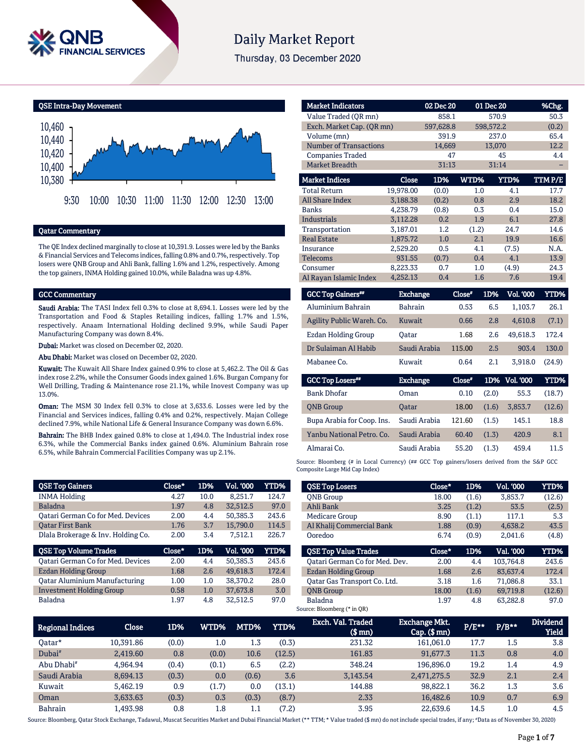

# **Daily Market Report**

Thursday, 03 December 2020

QSE Intra-Day Movement



# Qatar Commentary

The QE Index declined marginally to close at 10,391.9. Losses were led by the Banks & Financial Services and Telecoms indices, falling 0.8% and 0.7%, respectively. Top losers were QNB Group and Ahli Bank, falling 1.6% and 1.2%, respectively. Among the top gainers, INMA Holding gained 10.0%, while Baladna was up 4.8%.

#### GCC Commentary

Saudi Arabia: The TASI Index fell 0.3% to close at 8,694.1. Losses were led by the Transportation and Food & Staples Retailing indices, falling 1.7% and 1.5%, respectively. Anaam International Holding declined 9.9%, while Saudi Paper Manufacturing Company was down 8.4%.

Dubai: Market was closed on December 02, 2020.

Abu Dhabi: Market was closed on December 02, 2020.

Kuwait: The Kuwait All Share Index gained 0.9% to close at 5,462.2. The Oil & Gas index rose 2.2%, while the Consumer Goods index gained 1.6%. Burgan Company for Well Drilling, Trading & Maintenance rose 21.1%, while Inovest Company was up 13.0%.

Oman: The MSM 30 Index fell 0.3% to close at 3,633.6. Losses were led by the Financial and Services indices, falling 0.4% and 0.2%, respectively. Majan College declined 7.9%, while National Life & General Insurance Company was down 6.6%.

Bahrain: The BHB Index gained 0.8% to close at 1,494.0. The Industrial index rose 6.3%, while the Commercial Banks index gained 0.6%. Aluminium Bahrain rose 6.5%, while Bahrain Commercial Facilities Company was up 2.1%.

| <b>QSE Top Gainers</b>                   | Close* | 1D%  | Vol. '000 | <b>YTD%</b> |
|------------------------------------------|--------|------|-----------|-------------|
| <b>INMA Holding</b>                      | 4.27   | 10.0 | 8,251.7   | 124.7       |
| <b>Baladna</b>                           | 1.97   | 4.8  | 32.512.5  | 97.0        |
| <b>Qatari German Co for Med. Devices</b> | 2.00   | 4.4  | 50.385.3  | 243.6       |
| <b>Oatar First Bank</b>                  | 1.76   | 3.7  | 15.790.0  | 114.5       |
| Dlala Brokerage & Inv. Holding Co.       | 2.00   | 3.4  | 7.512.1   | 226.7       |
|                                          |        |      |           |             |
| <b>QSE Top Volume Trades</b>             | Close* | 1D%  | Vol. '000 | YTD%        |
| Qatari German Co for Med. Devices        | 2.00   | 4.4  | 50,385.3  | 243.6       |
| Ezdan Holding Group                      | 1.68   | 2.6  | 49,618.3  | 172.4       |
| <b>Qatar Aluminium Manufacturing</b>     | 1.00   | 1.0  | 38,370.2  | 28.0        |
| <b>Investment Holding Group</b>          | 0.58   | 1.0  | 37.673.8  | 3.0         |

| <b>Market Indicators</b>      |           | 02 Dec 20 |       | 01 Dec 20 | %Chg.  |
|-------------------------------|-----------|-----------|-------|-----------|--------|
| Value Traded (OR mn)          |           | 858.1     |       | 570.9     | 50.3   |
| Exch. Market Cap. (QR mn)     |           | 597,628.8 |       | 598,572.2 | (0.2)  |
| Volume (mn)                   |           | 391.9     |       | 237.0     | 65.4   |
| <b>Number of Transactions</b> |           | 14,669    |       | 13,070    | 12.2   |
| <b>Companies Traded</b>       |           | 47        |       | 45        | 4.4    |
| Market Breadth                |           | 31:13     |       | 31:14     |        |
| <b>Market Indices</b>         | Close     | 1D%       | WTD%  | YTD%      | TTMP/E |
| <b>Total Return</b>           | 19,978.00 | (0.0)     | 1.0   | 4.1       | 17.7   |
| All Share Index               | 3,188.38  | (0.2)     | 0.8   | 2.9       | 18.2   |
| <b>Banks</b>                  | 4,238.79  | (0.8)     | 0.3   | 0.4       | 15.0   |
| <b>Industrials</b>            | 3.112.28  | 0.2       | 1.9   | 6.1       | 27.8   |
| Transportation                | 3,187.01  | 1.2       | (1.2) | 24.7      | 14.6   |
| <b>Real Estate</b>            | 1,875.72  | 1.0       | 2.1   | 19.9      | 16.6   |
| Insurance                     | 2,529.20  | 0.5       | 4.1   | (7.5)     | N.A.   |
| Telecoms                      | 931.55    | (0.7)     | 0.4   | 4.1       | 13.9   |
| Consumer                      | 8,223.33  | 0.7       | 1.0   | (4.9)     | 24.3   |
| Al Rayan Islamic Index        | 4,252.13  | 0.4       | 1.6   | 7.6       | 19.4   |

| <b>GCC Top Gainers</b> "  | <b>Exchange</b> | Close* | 1D% | Vol. '000 | YTD%   |
|---------------------------|-----------------|--------|-----|-----------|--------|
| Aluminium Bahrain         | <b>Bahrain</b>  | 0.53   | 6.5 | 1.103.7   | 26.1   |
| Agility Public Wareh. Co. | Kuwait          | 0.66   | 2.8 | 4.610.8   | (7.1)  |
| Ezdan Holding Group       | Oatar           | 1.68   | 2.6 | 49.618.3  | 172.4  |
| Dr Sulaiman Al Habib      | Saudi Arabia    | 115.00 | 2.5 | 903.4     | 130.0  |
| Mabanee Co.               | Kuwait          | 0.64   | 2.1 | 3.918.0   | (24.9) |
|                           |                 |        |     |           |        |

| <b>GCC Top Losers</b> "    | <b>Exchange</b> | $Close*$ |       | 1D% Vol. 000 | YTD%   |
|----------------------------|-----------------|----------|-------|--------------|--------|
| <b>Bank Dhofar</b>         | Oman            | 0.10     | (2.0) | 55.3         | (18.7) |
| <b>ONB</b> Group           | <b>Oatar</b>    | 18.00    | (1.6) | 3.853.7      | (12.6) |
| Bupa Arabia for Coop. Ins. | Saudi Arabia    | 121.60   | (1.5) | 145.1        | 18.8   |
| Yanbu National Petro. Co.  | Saudi Arabia    | 60.40    | (1.3) | 420.9        | 8.1    |
| Almarai Co.                | Saudi Arabia    | 55.20    | (1.3) | 459.4        | 11.5   |

Source: Bloomberg (# in Local Currency) (## GCC Top gainers/losers derived from the S&P GCC Composite Large Mid Cap Index)

| <b>QSE Top Losers</b>          | Close* | 1D%   | Vol. '000 | YTD%   |
|--------------------------------|--------|-------|-----------|--------|
| <b>ONB</b> Group               | 18.00  | (1.6) | 3,853.7   | (12.6) |
| Ahli Bank                      | 3.25   | (1.2) | 53.5      | (2.5)  |
| Medicare Group                 | 8.90   | (1.1) | 117.1     | 5.3    |
| Al Khalij Commercial Bank      | 1.88   | (0.9) | 4.638.2   | 43.5   |
| Ooredoo                        | 6.74   | (0.9) | 2.041.6   | (4.8)  |
|                                |        |       |           |        |
| <b>QSE Top Value Trades</b>    | Close* | 1D%   | Val. '000 | YTD%   |
| Oatari German Co for Med. Dev. | 2.00   | 4.4   | 103.764.8 | 243.6  |
| Ezdan Holding Group            | 1.68   | 2.6   | 83.637.4  | 172.4  |
| Oatar Gas Transport Co. Ltd.   | 3.18   | 1.6   | 71.086.8  | 33.1   |
| <b>ONB</b> Group               | 18.00  | (1.6) | 69,719.8  | (12.6) |

| Regional Indices       | Close     | 1D%   | <b>WTD%</b> | MTD%  | <b>YTD%</b> | Exch. Val. Traded<br>$$$ mn $)$ | <b>Exchange Mkt.</b><br>$Cap.$ (\$ $mn$ ) | P/E** | $P/B**$ | <b>Dividend</b><br><b>Yield</b> |
|------------------------|-----------|-------|-------------|-------|-------------|---------------------------------|-------------------------------------------|-------|---------|---------------------------------|
| 0atar*                 | 10.391.86 | (0.0) | $1.0\,$     | 1.3   | (0.3)       | 231.32                          | 161.061.0                                 | 17.7  | 1.5     | 3.8                             |
| Dubai <sup>#</sup>     | 2,419.60  | 0.8   | (0.0)       | 10.6  | (12.5)      | 161.83                          | 91,677.3                                  | 11.3  | 0.8     | 4.0                             |
| Abu Dhabi <sup>#</sup> | 4.964.94  | (0.4) | (0.1)       | 6.5   | (2.2)       | 348.24                          | 196.896.0                                 | 19.2  | 1.4     | 4.9                             |
| Saudi Arabia           | 8,694.13  | (0.3) | 0.0         | (0.6) | 3.6         | 3.143.54                        | 2,471,275.5                               | 32.9  | 2.1     | 2.4                             |
| Kuwait                 | 5.462.19  | 0.9   | (1.7)       | 0.0   | (13.1)      | 144.88                          | 98.822.1                                  | 36.2  | 1.3     | 3.6                             |
| Oman                   | 3,633.63  | (0.3) | 0.3         | (0.3) | (8.7)       | 2.33                            | 16,482.6                                  | 10.9  | 0.7     | 6.9                             |
| Bahrain                | 1,493.98  | 0.8   | 1.8         | 1.1   | (7.2)       | 3.95                            | 22.639.6                                  | 14.5  | $1.0\,$ | 4.5                             |

Source: Bloomberg, Qatar Stock Exchange, Tadawul, Muscat Securities Market and Dubai Financial Market (\*\* TTM; \* Value traded (\$ mn) do not include special trades, if any; #Data as of November 30, 2020)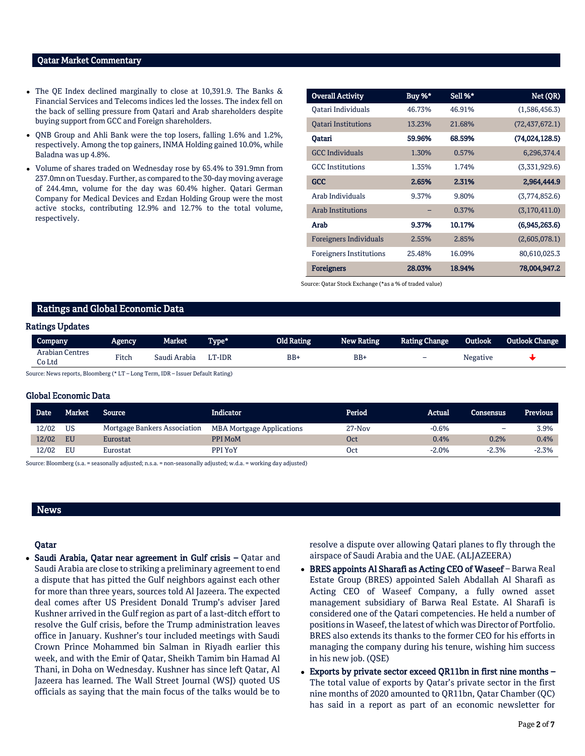#### Qatar Market Commentary

- The QE Index declined marginally to close at 10,391.9. The Banks & Financial Services and Telecoms indices led the losses. The index fell on the back of selling pressure from Qatari and Arab shareholders despite buying support from GCC and Foreign shareholders.
- QNB Group and Ahli Bank were the top losers, falling 1.6% and 1.2%, respectively. Among the top gainers, INMA Holding gained 10.0%, while Baladna was up 4.8%.
- Volume of shares traded on Wednesday rose by 65.4% to 391.9mn from 237.0mn on Tuesday. Further, as compared to the 30-day moving average of 244.4mn, volume for the day was 60.4% higher. Qatari German Company for Medical Devices and Ezdan Holding Group were the most active stocks, contributing 12.9% and 12.7% to the total volume, respectively.

| <b>Overall Activity</b>        | Buy %* | Sell %* | Net (QR)         |
|--------------------------------|--------|---------|------------------|
| Oatari Individuals             | 46.73% | 46.91%  | (1,586,456.3)    |
| <b>Oatari Institutions</b>     | 13.23% | 21.68%  | (72, 437, 672.1) |
| Oatari                         | 59.96% | 68.59%  | (74,024,128.5)   |
| <b>GCC</b> Individuals         | 1.30%  | 0.57%   | 6,296,374.4      |
| <b>GCC</b> Institutions        | 1.35%  | 1.74%   | (3,331,929.6)    |
| <b>GCC</b>                     | 2.65%  | 2.31%   | 2,964,444.9      |
| Arab Individuals               | 9.37%  | 9.80%   | (3,774,852.6)    |
| <b>Arab Institutions</b>       |        | 0.37%   | (3,170,411.0)    |
| Arab                           | 9.37%  | 10.17%  | (6,945,263.6)    |
| <b>Foreigners Individuals</b>  | 2.55%  | 2.85%   | (2,605,078.1)    |
| <b>Foreigners Institutions</b> | 25.48% | 16.09%  | 80,610,025.3     |
| <b>Foreigners</b>              | 28.03% | 18.94%  | 78,004,947.2     |

Source: Qatar Stock Exchange (\*as a % of traded value)

#### Ratings and Global Economic Data

#### Ratings Updates

| <b>Arabian Centres</b><br>Fitch<br>BB-<br>Saudi Arabia<br>LT-IDR<br>BB+<br>Co Ltd | $\overline{\phantom{0}}$ | <b>Negative</b> |  |
|-----------------------------------------------------------------------------------|--------------------------|-----------------|--|

:e: News reports, Bloomberg (\* LT – Long Term, IDR – Issuer Default Rating)

#### Global Economic Data

| <b>Date</b> | Market    | <b>Source</b>                | Indicator                        | Period   | Actual  | Consensus | <b>Previous</b> |
|-------------|-----------|------------------------------|----------------------------------|----------|---------|-----------|-----------------|
| 12/02       | US        | Mortgage Bankers Association | <b>MBA Mortgage Applications</b> | $27-Nov$ | $-0.6%$ |           | 3.9%            |
| 12/02       | <b>EU</b> | Eurostat                     | PPI MoM                          | Oct      | 0.4%    | 0.2%      | 0.4%            |
| 12/02       | EU        | Eurostat                     | PPI YoY                          | Oct      | $-2.0%$ | $-2.3%$   | $-2.3%$         |

Source: Bloomberg (s.a. = seasonally adjusted; n.s.a. = non-seasonally adjusted; w.d.a. = working day adjusted)

### News

#### Qatar

• Saudi Arabia, Qatar near agreement in Gulf crisis – Qatar and Saudi Arabia are close to striking a preliminary agreement to end a dispute that has pitted the Gulf neighbors against each other for more than three years, sources told Al Jazeera. The expected deal comes after US President Donald Trump's adviser Jared Kushner arrived in the Gulf region as part of a last-ditch effort to resolve the Gulf crisis, before the Trump administration leaves office in January. Kushner's tour included meetings with Saudi Crown Prince Mohammed bin Salman in Riyadh earlier this week, and with the Emir of Qatar, Sheikh Tamim bin Hamad Al Thani, in Doha on Wednesday. Kushner has since left Qatar, Al Jazeera has learned. The Wall Street Journal (WSJ) quoted US officials as saying that the main focus of the talks would be to resolve a dispute over allowing Qatari planes to fly through the airspace of Saudi Arabia and the UAE. (ALJAZEERA)

- BRES appoints Al Sharafi as Acting CEO of Waseef Barwa Real Estate Group (BRES) appointed Saleh Abdallah Al Sharafi as Acting CEO of Waseef Company, a fully owned asset management subsidiary of Barwa Real Estate. Al Sharafi is considered one of the Qatari competencies. He held a number of positions in Waseef, the latest of which was Director of Portfolio. BRES also extends its thanks to the former CEO for his efforts in managing the company during his tenure, wishing him success in his new job. (QSE)
- Exports by private sector exceed QR11bn in first nine months The total value of exports by Qatar's private sector in the first nine months of 2020 amounted to QR11bn, Qatar Chamber (QC) has said in a report as part of an economic newsletter for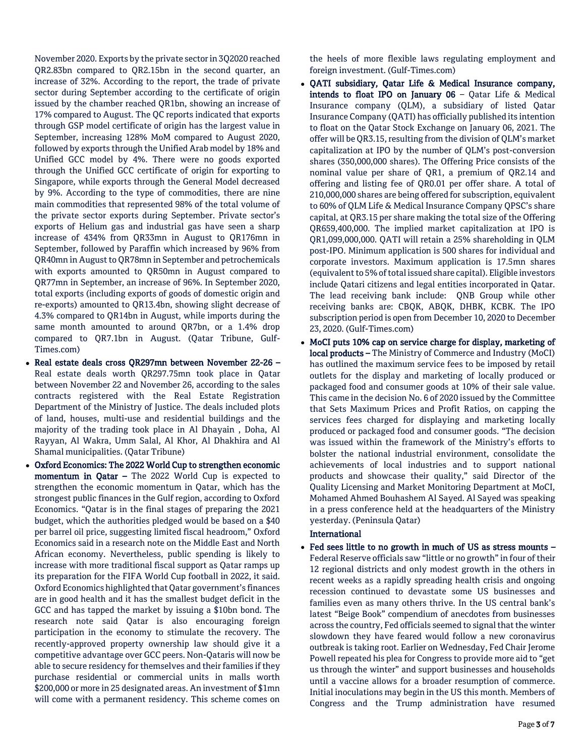November 2020. Exports by the private sector in 3Q2020 reached QR2.83bn compared to QR2.15bn in the second quarter, an increase of 32%. According to the report, the trade of private sector during September according to the certificate of origin issued by the chamber reached QR1bn, showing an increase of 17% compared to August. The QC reports indicated that exports through GSP model certificate of origin has the largest value in September, increasing 128% MoM compared to August 2020, followed by exports through the Unified Arab model by 18% and Unified GCC model by 4%. There were no goods exported through the Unified GCC certificate of origin for exporting to Singapore, while exports through the General Model decreased by 9%. According to the type of commodities, there are nine main commodities that represented 98% of the total volume of the private sector exports during September. Private sector's exports of Helium gas and industrial gas have seen a sharp increase of 434% from QR33mn in August to QR176mn in September, followed by Paraffin which increased by 96% from QR40mn in August to QR78mn in September and petrochemicals with exports amounted to QR50mn in August compared to QR77mn in September, an increase of 96%. In September 2020, total exports (including exports of goods of domestic origin and re-exports) amounted to QR13.4bn, showing slight decrease of 4.3% compared to QR14bn in August, while imports during the same month amounted to around QR7bn, or a 1.4% drop compared to QR7.1bn in August. (Qatar Tribune, Gulf-Times.com)

- Real estate deals cross QR297mn between November 22-26 Real estate deals worth QR297.75mn took place in Qatar between November 22 and November 26, according to the sales contracts registered with the Real Estate Registration Department of the Ministry of Justice. The deals included plots of land, houses, multi-use and residential buildings and the majority of the trading took place in Al Dhayain , Doha, Al Rayyan, Al Wakra, Umm Salal, Al Khor, Al Dhakhira and Al Shamal municipalities. (Qatar Tribune)
- Oxford Economics: The 2022 World Cup to strengthen economic momentum in Qatar – The 2022 World Cup is expected to strengthen the economic momentum in Qatar, which has the strongest public finances in the Gulf region, according to Oxford Economics. "Qatar is in the final stages of preparing the 2021 budget, which the authorities pledged would be based on a \$40 per barrel oil price, suggesting limited fiscal headroom," Oxford Economics said in a research note on the Middle East and North African economy. Nevertheless, public spending is likely to increase with more traditional fiscal support as Qatar ramps up its preparation for the FIFA World Cup football in 2022, it said. Oxford Economics highlighted that Qatar government's finances are in good health and it has the smallest budget deficit in the GCC and has tapped the market by issuing a \$10bn bond. The research note said Qatar is also encouraging foreign participation in the economy to stimulate the recovery. The recently-approved property ownership law should give it a competitive advantage over GCC peers. Non-Qataris will now be able to secure residency for themselves and their families if they purchase residential or commercial units in malls worth \$200,000 or more in 25 designated areas. An investment of \$1mn will come with a permanent residency. This scheme comes on

the heels of more flexible laws regulating employment and foreign investment. (Gulf-Times.com)

- OATI subsidiary, Oatar Life & Medical Insurance company, intends to float IPO on January 06 - Qatar Life  $\&$  Medical Insurance company (QLM), a subsidiary of listed Qatar Insurance Company (QATI) has officially published its intention to float on the Qatar Stock Exchange on January 06, 2021. The offer will be QR3.15, resulting from the division of QLM's market capitalization at IPO by the number of QLM's post-conversion shares (350,000,000 shares). The Offering Price consists of the nominal value per share of QR1, a premium of QR2.14 and offering and listing fee of QR0.01 per offer share. A total of 210,000,000 shares are being offered for subscription, equivalent to 60% of QLM Life & Medical Insurance Company QPSC's share capital, at QR3.15 per share making the total size of the Offering QR659,400,000. The implied market capitalization at IPO is QR1,099,000,000. QATI will retain a 25% shareholding in QLM post-IPO. Minimum application is 500 shares for individual and corporate investors. Maximum application is 17.5mn shares (equivalent to 5% of total issued share capital). Eligible investors include Qatari citizens and legal entities incorporated in Qatar. The lead receiving bank include: QNB Group while other receiving banks are: CBQK, ABQK, DHBK, KCBK. The IPO subscription period is open from December 10, 2020 to December 23, 2020. (Gulf-Times.com)
- MoCI puts 10% cap on service charge for display, marketing of local products – The Ministry of Commerce and Industry (MoCI) has outlined the maximum service fees to be imposed by retail outlets for the display and marketing of locally produced or packaged food and consumer goods at 10% of their sale value. This came in the decision No. 6 of 2020 issued by the Committee that Sets Maximum Prices and Profit Ratios, on capping the services fees charged for displaying and marketing locally produced or packaged food and consumer goods. "The decision was issued within the framework of the Ministry's efforts to bolster the national industrial environment, consolidate the achievements of local industries and to support national products and showcase their quality," said Director of the Quality Licensing and Market Monitoring Department at MoCI, Mohamed Ahmed Bouhashem Al Sayed. Al Sayed was speaking in a press conference held at the headquarters of the Ministry yesterday. (Peninsula Qatar)

# International

• Fed sees little to no growth in much of US as stress mounts -Federal Reserve officials saw "little or no growth" in four of their 12 regional districts and only modest growth in the others in recent weeks as a rapidly spreading health crisis and ongoing recession continued to devastate some US businesses and families even as many others thrive. In the US central bank's latest "Beige Book" compendium of anecdotes from businesses across the country, Fed officials seemed to signal that the winter slowdown they have feared would follow a new coronavirus outbreak is taking root. Earlier on Wednesday, Fed Chair Jerome Powell repeated his plea for Congress to provide more aid to "get us through the winter" and support businesses and households until a vaccine allows for a broader resumption of commerce. Initial inoculations may begin in the US this month. Members of Congress and the Trump administration have resumed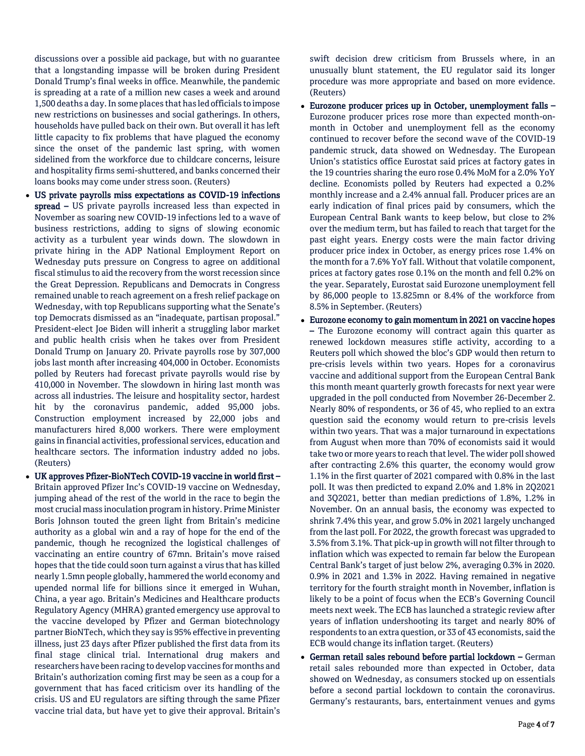discussions over a possible aid package, but with no guarantee that a longstanding impasse will be broken during President Donald Trump's final weeks in office. Meanwhile, the pandemic is spreading at a rate of a million new cases a week and around 1,500 deaths a day. In some places that has led officials to impose new restrictions on businesses and social gatherings. In others, households have pulled back on their own. But overall it has left little capacity to fix problems that have plagued the economy since the onset of the pandemic last spring, with women sidelined from the workforce due to childcare concerns, leisure and hospitality firms semi-shuttered, and banks concerned their loans books may come under stress soon. (Reuters)

- US private payrolls miss expectations as COVID-19 infections spread – US private payrolls increased less than expected in November as soaring new COVID-19 infections led to a wave of business restrictions, adding to signs of slowing economic activity as a turbulent year winds down. The slowdown in private hiring in the ADP National Employment Report on Wednesday puts pressure on Congress to agree on additional fiscal stimulus to aid the recovery from the worst recession since the Great Depression. Republicans and Democrats in Congress remained unable to reach agreement on a fresh relief package on Wednesday, with top Republicans supporting what the Senate's top Democrats dismissed as an "inadequate, partisan proposal." President-elect Joe Biden will inherit a struggling labor market and public health crisis when he takes over from President Donald Trump on January 20. Private payrolls rose by 307,000 jobs last month after increasing 404,000 in October. Economists polled by Reuters had forecast private payrolls would rise by 410,000 in November. The slowdown in hiring last month was across all industries. The leisure and hospitality sector, hardest hit by the coronavirus pandemic, added 95,000 jobs. Construction employment increased by 22,000 jobs and manufacturers hired 8,000 workers. There were employment gains in financial activities, professional services, education and healthcare sectors. The information industry added no jobs. (Reuters)
- UK approves Pfizer-BioNTech COVID-19 vaccine in world first Britain approved Pfizer Inc's COVID-19 vaccine on Wednesday, jumping ahead of the rest of the world in the race to begin the most crucial mass inoculation program in history. Prime Minister Boris Johnson touted the green light from Britain's medicine authority as a global win and a ray of hope for the end of the pandemic, though he recognized the logistical challenges of vaccinating an entire country of 67mn. Britain's move raised hopes that the tide could soon turn against a virus that has killed nearly 1.5mn people globally, hammered the world economy and upended normal life for billions since it emerged in Wuhan, China, a year ago. Britain's Medicines and Healthcare products Regulatory Agency (MHRA) granted emergency use approval to the vaccine developed by Pfizer and German biotechnology partner BioNTech, which they say is 95% effective in preventing illness, just 23 days after Pfizer published the first data from its final stage clinical trial. International drug makers and researchers have been racing to develop vaccines for months and Britain's authorization coming first may be seen as a coup for a government that has faced criticism over its handling of the crisis. US and EU regulators are sifting through the same Pfizer vaccine trial data, but have yet to give their approval. Britain's

swift decision drew criticism from Brussels where, in an unusually blunt statement, the EU regulator said its longer procedure was more appropriate and based on more evidence. (Reuters)

- Eurozone producer prices up in October, unemployment falls Eurozone producer prices rose more than expected month-onmonth in October and unemployment fell as the economy continued to recover before the second wave of the COVID-19 pandemic struck, data showed on Wednesday. The European Union's statistics office Eurostat said prices at factory gates in the 19 countries sharing the euro rose 0.4% MoM for a 2.0% YoY decline. Economists polled by Reuters had expected a 0.2% monthly increase and a 2.4% annual fall. Producer prices are an early indication of final prices paid by consumers, which the European Central Bank wants to keep below, but close to 2% over the medium term, but has failed to reach that target for the past eight years. Energy costs were the main factor driving producer price index in October, as energy prices rose 1.4% on the month for a 7.6% YoY fall. Without that volatile component, prices at factory gates rose 0.1% on the month and fell 0.2% on the year. Separately, Eurostat said Eurozone unemployment fell by 86,000 people to 13.825mn or 8.4% of the workforce from 8.5% in September. (Reuters)
- Eurozone economy to gain momentum in 2021 on vaccine hopes – The Eurozone economy will contract again this quarter as renewed lockdown measures stifle activity, according to a Reuters poll which showed the bloc's GDP would then return to pre-crisis levels within two years. Hopes for a coronavirus vaccine and additional support from the European Central Bank this month meant quarterly growth forecasts for next year were upgraded in the poll conducted from November 26-December 2. Nearly 80% of respondents, or 36 of 45, who replied to an extra question said the economy would return to pre-crisis levels within two years. That was a major turnaround in expectations from August when more than 70% of economists said it would take two or more years to reach that level. The wider poll showed after contracting 2.6% this quarter, the economy would grow 1.1% in the first quarter of 2021 compared with 0.8% in the last poll. It was then predicted to expand 2.0% and 1.8% in 2Q2021 and 3Q2021, better than median predictions of 1.8%, 1.2% in November. On an annual basis, the economy was expected to shrink 7.4% this year, and grow 5.0% in 2021 largely unchanged from the last poll. For 2022, the growth forecast was upgraded to 3.5% from 3.1%. That pick-up in growth will not filter through to inflation which was expected to remain far below the European Central Bank's target of just below 2%, averaging 0.3% in 2020. 0.9% in 2021 and 1.3% in 2022. Having remained in negative territory for the fourth straight month in November, inflation is likely to be a point of focus when the ECB's Governing Council meets next week. The ECB has launched a strategic review after years of inflation undershooting its target and nearly 80% of respondents to an extra question, or 33 of 43 economists, said the ECB would change its inflation target. (Reuters)
- German retail sales rebound before partial lockdown German retail sales rebounded more than expected in October, data showed on Wednesday, as consumers stocked up on essentials before a second partial lockdown to contain the coronavirus. Germany's restaurants, bars, entertainment venues and gyms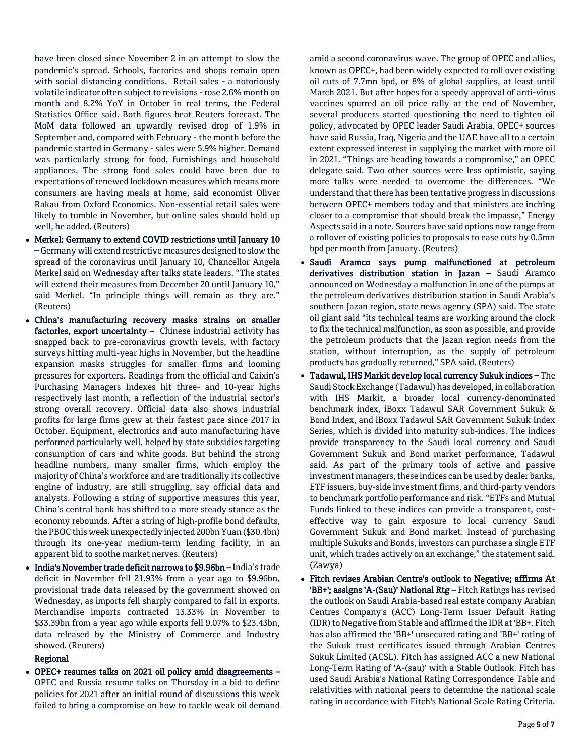have been closed since November 2 in an attempt to slow the pandemic's spread. Schools, factories and shops remain open with social distancing conditions. Retail sales - a notoriously volatile indicator often subject to revisions - rose 2.6% month on month and 8.2% YoY in October in real terms, the Federal Statistics Office said. Both figures beat Reuters forecast. The MoM data followed an upwardly revised drop of 1.9% in September and, compared with February - the month before the pandemic started in Germany - sales were 5.9% higher. Demand was particularly strong for food, furnishings and household appliances. The strong food sales could have been due to expectations of renewed lockdown measures which means more consumers are having meals at home, said economist Oliver Rakau from Oxford Economics. Non-essential retail sales were likely to tumble in November, but online sales should hold up well, he added. (Reuters)

- Merkel: Germany to extend COVID restrictions until January 10 – Germany will extend restrictive measures designed to slow the spread of the coronavirus until January 10, Chancellor Angela Merkel said on Wednesday after talks state leaders. "The states will extend their measures from December 20 until January 10," said Merkel. "In principle things will remain as they are." (Reuters)
- China's manufacturing recovery masks strains on smaller factories, export uncertainty – Chinese industrial activity has snapped back to pre-coronavirus growth levels, with factory surveys hitting multi-year highs in November, but the headline expansion masks struggles for smaller firms and looming pressures for exporters. Readings from the official and Caixin's Purchasing Managers Indexes hit three- and 10-year highs respectively last month, a reflection of the industrial sector's strong overall recovery. Official data also shows industrial profits for large firms grew at their fastest pace since 2017 in October. Equipment, electronics and auto manufacturing have performed particularly well, helped by state subsidies targeting consumption of cars and white goods. But behind the strong headline numbers, many smaller firms, which employ the majority of China's workforce and are traditionally its collective engine of industry, are still struggling, say official data and analysts. Following a string of supportive measures this year, China's central bank has shifted to a more steady stance as the economy rebounds. After a string of high-profile bond defaults, the PBOC this week unexpectedly injected 200bn Yuan (\$30.4bn) through its one-year medium-term lending facility, in an apparent bid to soothe market nerves. (Reuters)
- India's November trade deficit narrows to \$9.96bn India's trade deficit in November fell 21.93% from a year ago to \$9.96bn, provisional trade data released by the government showed on Wednesday, as imports fell sharply compared to fall in exports. Merchandise imports contracted 13.33% in November to \$33.39bn from a year ago while exports fell 9.07% to \$23.43bn, data released by the Ministry of Commerce and Industry showed. (Reuters)

# Regional

 OPEC+ resumes talks on 2021 oil policy amid disagreements – OPEC and Russia resume talks on Thursday in a bid to define policies for 2021 after an initial round of discussions this week failed to bring a compromise on how to tackle weak oil demand

amid a second coronavirus wave. The group of OPEC and allies, known as OPEC+, had been widely expected to roll over existing oil cuts of 7.7mn bpd, or 8% of global supplies, at least until March 2021. But after hopes for a speedy approval of anti-virus vaccines spurred an oil price rally at the end of November, several producers started questioning the need to tighten oil policy, advocated by OPEC leader Saudi Arabia. OPEC+ sources have said Russia, Iraq, Nigeria and the UAE have all to a certain extent expressed interest in supplying the market with more oil in 2021. "Things are heading towards a compromise," an OPEC delegate said. Two other sources were less optimistic, saying more talks were needed to overcome the differences. "We understand that there has been tentative progress in discussions between OPEC+ members today and that ministers are inching closer to a compromise that should break the impasse," Energy Aspects said in a note. Sources have said options now range from a rollover of existing policies to proposals to ease cuts by 0.5mn bpd per month from January. (Reuters)

- Saudi Aramco says pump malfunctioned at petroleum derivatives distribution station in Jazan - Saudi Aramco announced on Wednesday a malfunction in one of the pumps at the petroleum derivatives distribution station in Saudi Arabia's southern Jazan region, state news agency (SPA) said. The state oil giant said "its technical teams are working around the clock to fix the technical malfunction, as soon as possible, and provide the petroleum products that the Jazan region needs from the station, without interruption, as the supply of petroleum products has gradually returned," SPA said. (Reuters)
- Tadawul, IHS Markit develop local currency Sukuk indices The Saudi Stock Exchange (Tadawul) has developed, in collaboration with IHS Markit, a broader local currency-denominated benchmark index, iBoxx Tadawul SAR Government Sukuk & Bond Index, and iBoxx Tadawul SAR Government Sukuk Index Series, which is divided into maturity sub-indices. The indices provide transparency to the Saudi local currency and Saudi Government Sukuk and Bond market performance, Tadawul said. As part of the primary tools of active and passive investment managers, these indices can be used by dealer banks, ETF issuers, buy-side investment firms, and third-party vendors to benchmark portfolio performance and risk. "ETFs and Mutual Funds linked to these indices can provide a transparent, costeffective way to gain exposure to local currency Saudi Government Sukuk and Bond market. Instead of purchasing multiple Sukuks and Bonds, investors can purchase a single ETF unit, which trades actively on an exchange," the statement said. (Zawya)
- Fitch revises Arabian Centre's outlook to Negative; affirms At 'BB+'; assigns 'A-(Sau)' National Rtg – Fitch Ratings has revised the outlook on Saudi Arabia-based real estate company Arabian Centres Company's (ACC) Long-Term Issuer Default Rating (IDR) to Negative from Stable and affirmed the IDR at 'BB+. Fitch has also affirmed the 'BB+' unsecured rating and 'BB+' rating of the Sukuk trust certificates issued through Arabian Centres Sukuk Limited (ACSL). Fitch has assigned ACC a new National Long-Term Rating of 'A-(sau)' with a Stable Outlook. Fitch has used Saudi Arabia's National Rating Correspondence Table and relativities with national peers to determine the national scale rating in accordance with Fitch's National Scale Rating Criteria.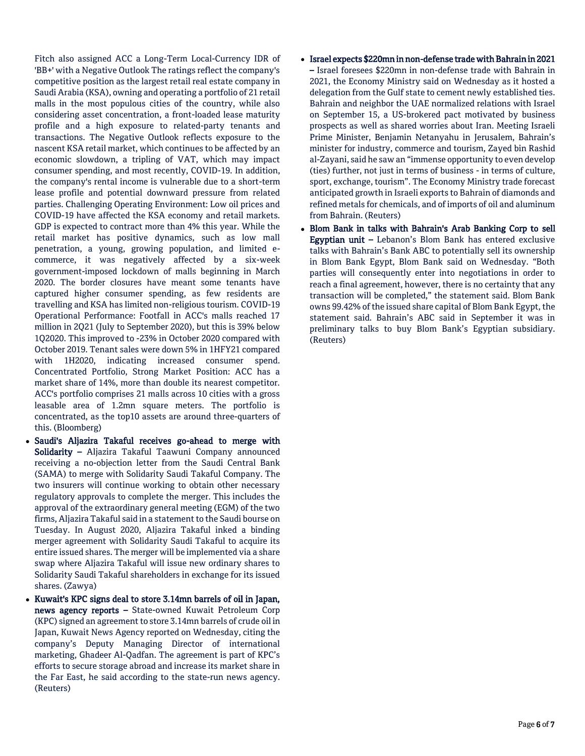Fitch also assigned ACC a Long-Term Local-Currency IDR of 'BB+' with a Negative Outlook The ratings reflect the company's competitive position as the largest retail real estate company in Saudi Arabia (KSA), owning and operating a portfolio of 21 retail malls in the most populous cities of the country, while also considering asset concentration, a front-loaded lease maturity profile and a high exposure to related-party tenants and transactions. The Negative Outlook reflects exposure to the nascent KSA retail market, which continues to be affected by an economic slowdown, a tripling of VAT, which may impact consumer spending, and most recently, COVID-19. In addition, the company's rental income is vulnerable due to a short-term lease profile and potential downward pressure from related parties. Challenging Operating Environment: Low oil prices and COVID-19 have affected the KSA economy and retail markets. GDP is expected to contract more than 4% this year. While the retail market has positive dynamics, such as low mall penetration, a young, growing population, and limited ecommerce, it was negatively affected by a six-week government-imposed lockdown of malls beginning in March 2020. The border closures have meant some tenants have captured higher consumer spending, as few residents are travelling and KSA has limited non-religious tourism. COVID-19 Operational Performance: Footfall in ACC's malls reached 17 million in 2Q21 (July to September 2020), but this is 39% below 1Q2020. This improved to -23% in October 2020 compared with October 2019. Tenant sales were down 5% in 1HFY21 compared with 1H2020, indicating increased consumer spend. Concentrated Portfolio, Strong Market Position: ACC has a market share of 14%, more than double its nearest competitor. ACC's portfolio comprises 21 malls across 10 cities with a gross leasable area of 1.2mn square meters. The portfolio is concentrated, as the top10 assets are around three-quarters of this. (Bloomberg)

- Saudi's Aljazira Takaful receives go-ahead to merge with Solidarity – Aljazira Takaful Taawuni Company announced receiving a no-objection letter from the Saudi Central Bank (SAMA) to merge with Solidarity Saudi Takaful Company. The two insurers will continue working to obtain other necessary regulatory approvals to complete the merger. This includes the approval of the extraordinary general meeting (EGM) of the two firms, Aljazira Takaful said in a statement to the Saudi bourse on Tuesday. In August 2020, Aljazira Takaful inked a binding merger agreement with Solidarity Saudi Takaful to acquire its entire issued shares. The merger will be implemented via a share swap where Aljazira Takaful will issue new ordinary shares to Solidarity Saudi Takaful shareholders in exchange for its issued shares. (Zawya)
- Kuwait's KPC signs deal to store 3.14mn barrels of oil in Japan, news agency reports – State-owned Kuwait Petroleum Corp (KPC) signed an agreement to store 3.14mn barrels of crude oil in Japan, Kuwait News Agency reported on Wednesday, citing the company's Deputy Managing Director of international marketing, Ghadeer Al-Qadfan. The agreement is part of KPC's efforts to secure storage abroad and increase its market share in the Far East, he said according to the state-run news agency. (Reuters)
- Israel expects \$220mn in non-defense trade with Bahrain in 2021 – Israel foresees \$220mn in non-defense trade with Bahrain in 2021, the Economy Ministry said on Wednesday as it hosted a delegation from the Gulf state to cement newly established ties. Bahrain and neighbor the UAE normalized relations with Israel on September 15, a US-brokered pact motivated by business prospects as well as shared worries about Iran. Meeting Israeli Prime Minister, Benjamin Netanyahu in Jerusalem, Bahrain's minister for industry, commerce and tourism, Zayed bin Rashid al-Zayani, said he saw an "immense opportunity to even develop (ties) further, not just in terms of business - in terms of culture, sport, exchange, tourism". The Economy Ministry trade forecast anticipated growth in Israeli exports to Bahrain of diamonds and refined metals for chemicals, and of imports of oil and aluminum from Bahrain. (Reuters)
- Blom Bank in talks with Bahrain's Arab Banking Corp to sell Egyptian unit - Lebanon's Blom Bank has entered exclusive talks with Bahrain's Bank ABC to potentially sell its ownership in Blom Bank Egypt, Blom Bank said on Wednesday. "Both parties will consequently enter into negotiations in order to reach a final agreement, however, there is no certainty that any transaction will be completed," the statement said. Blom Bank owns 99.42% of the issued share capital of Blom Bank Egypt, the statement said. Bahrain's ABC said in September it was in preliminary talks to buy Blom Bank's Egyptian subsidiary. (Reuters)